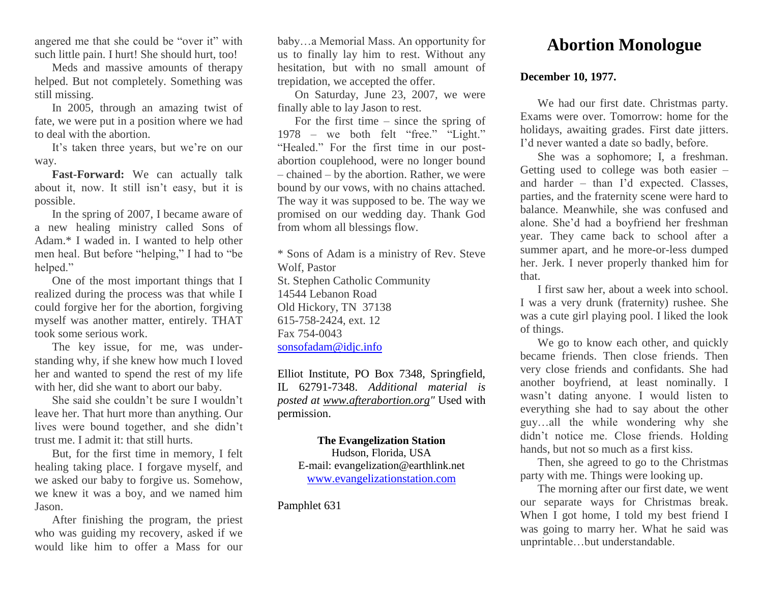angered me that she could be "over it" with such little pain. I hurt! She should hurt, too!

Meds and massive amounts of therapy helped. But not completely. Something was still missing.

In 2005, through an amazing twist of fate, we were put in a position where we had to deal with the abortion.

It's taken three years, but we're on our way.

**Fast-Forward:** We can actually talk about it, now. It still isn't easy, but it is possible.

In the spring of 2007, I became aware of a new healing ministry called Sons of Adam.\* I waded in. I wanted to help other men heal. But before "helping," I had to "be helped."

One of the most important things that I realized during the process was that while I could forgive her for the abortion, forgiving myself was another matter, entirely. THAT took some serious work.

The key issue, for me, was understanding why, if she knew how much I loved her and wanted to spend the rest of my life with her, did she want to abort our baby.

She said she couldn't be sure I wouldn't leave her. That hurt more than anything. Our lives were bound together, and she didn't trust me. I admit it: that still hurts.

But, for the first time in memory, I felt healing taking place. I forgave myself, and we asked our baby to forgive us. Somehow, we knew it was a boy, and we named him Jason.

After finishing the program, the priest who was guiding my recovery, asked if we would like him to offer a Mass for our baby…a Memorial Mass. An opportunity for us to finally lay him to rest. Without any hesitation, but with no small amount of trepidation, we accepted the offer.

On Saturday, June 23, 2007, we were finally able to lay Jason to rest.

For the first time – since the spring of 1978 – we both felt "free." "Light." "Healed." For the first time in our postabortion couplehood, were no longer bound – chained – by the abortion. Rather, we were bound by our vows, with no chains attached. The way it was supposed to be. The way we promised on our wedding day. Thank God from whom all blessings flow.

\* Sons of Adam is a ministry of Rev. Steve Wolf, Pastor St. Stephen Catholic Community 14544 Lebanon Road Old Hickory, TN 37138 615-758-2424, ext. 12 Fax 754-0043 [sonsofadam@idjc.info](mailto:sonsofadam@idjc.info)

Elliot Institute, PO Box 7348, Springfield, IL 62791-7348. *Additional material is posted at [www.afterabortion.org"](http://www.afterabortion.org/)* Used with permission.

**The Evangelization Station** Hudson, Florida, USA E-mail: evangelization@earthlink.net [www.evangelizationstation.com](http://www.pjpiisoe.org/)

Pamphlet 631

## **Abortion Monologue**

## **December 10, 1977.**

We had our first date. Christmas party. Exams were over. Tomorrow: home for the holidays, awaiting grades. First date jitters. I'd never wanted a date so badly, before.

She was a sophomore; I, a freshman. Getting used to college was both easier – and harder – than I'd expected. Classes, parties, and the fraternity scene were hard to balance. Meanwhile, she was confused and alone. She'd had a boyfriend her freshman year. They came back to school after a summer apart, and he more-or-less dumped her. Jerk. I never properly thanked him for that.

I first saw her, about a week into school. I was a very drunk (fraternity) rushee. She was a cute girl playing pool. I liked the look of things.

We go to know each other, and quickly became friends. Then close friends. Then very close friends and confidants. She had another boyfriend, at least nominally. I wasn't dating anyone. I would listen to everything she had to say about the other guy…all the while wondering why she didn't notice me. Close friends. Holding hands, but not so much as a first kiss.

Then, she agreed to go to the Christmas party with me. Things were looking up.

The morning after our first date, we went our separate ways for Christmas break. When I got home, I told my best friend I was going to marry her. What he said was unprintable…but understandable.